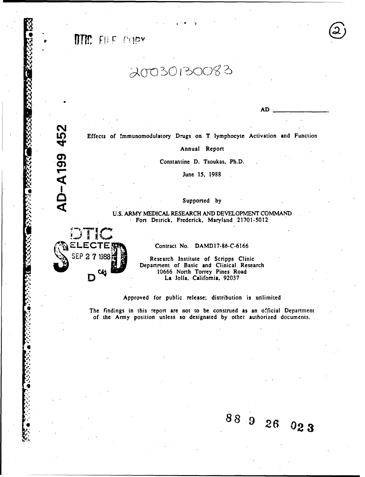TTM: FIFF copy

SDTIC:

ŗ.

20030130083

If Effects of Immunomodulatory Drugs on T lymphocyte Activation and Function

Annual Report

Constantine D. Tsoukas, Ph.D.

 $J$  June 15, 1988

Supported by

U.S. ARMY MEDICAL RESEARCH AND DEVELOPMENT COMMAND Fort Detrick, Frederick, Maryland 21701-5012

Contract No. DAMD17-86-C-6166

**SEP** 2 7 1988, Research Institute of Scripps Clinic Department of Basic and Clinical Research D C4 5 10666 North Torrey Pines Road<br>La Jolla, California, 92037 La Jolla, California, 92037

Approved for public release; distribution is unlimited

The findings in this report are not to be construed as an official Department of the Army position unless so designated by other authorized documents.

"•:,,: **88** 9 **26 02 3**

88926023

AD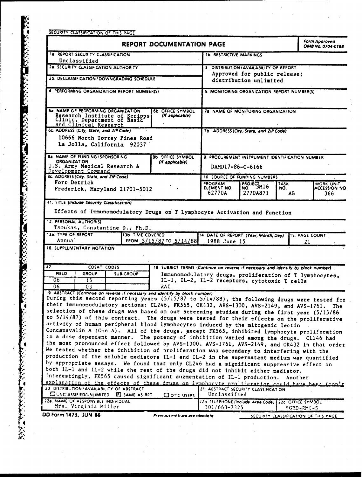| <b>1a. REPORT SECURITY CLASSIFICATION</b>                                                                                                                                                                                                                                                                                                                                                                                                                                                                                                                                                                                                                                                                                                                                                                                                                                                                                                                                                                                                                                                                                                                                                                                                                                                                                                                      | <b>REPORT DOCUMENTATION PAGE</b> |                                                                                   |                                                                     |                                                 |                                      | Form Approved<br>OMB No. 0704-0188 |  |
|----------------------------------------------------------------------------------------------------------------------------------------------------------------------------------------------------------------------------------------------------------------------------------------------------------------------------------------------------------------------------------------------------------------------------------------------------------------------------------------------------------------------------------------------------------------------------------------------------------------------------------------------------------------------------------------------------------------------------------------------------------------------------------------------------------------------------------------------------------------------------------------------------------------------------------------------------------------------------------------------------------------------------------------------------------------------------------------------------------------------------------------------------------------------------------------------------------------------------------------------------------------------------------------------------------------------------------------------------------------|----------------------------------|-----------------------------------------------------------------------------------|---------------------------------------------------------------------|-------------------------------------------------|--------------------------------------|------------------------------------|--|
|                                                                                                                                                                                                                                                                                                                                                                                                                                                                                                                                                                                                                                                                                                                                                                                                                                                                                                                                                                                                                                                                                                                                                                                                                                                                                                                                                                |                                  |                                                                                   | <b>1b. RESTRICTIVE MARKINGS</b>                                     |                                                 |                                      |                                    |  |
| Unclassified<br>28. SECURITY CLASSIFICATION AUTHORITY                                                                                                                                                                                                                                                                                                                                                                                                                                                                                                                                                                                                                                                                                                                                                                                                                                                                                                                                                                                                                                                                                                                                                                                                                                                                                                          |                                  |                                                                                   |                                                                     | 3. DISTRIBUTION/AVAILABILITY OF REPORT          |                                      |                                    |  |
| 2b. DECLASSIFICATION / DOWNGRADING SCHEDULE<br>4. PERFORMING ORGANIZATION REPORT NUMBER(S)                                                                                                                                                                                                                                                                                                                                                                                                                                                                                                                                                                                                                                                                                                                                                                                                                                                                                                                                                                                                                                                                                                                                                                                                                                                                     |                                  |                                                                                   |                                                                     | Approved for public release;                    |                                      |                                    |  |
|                                                                                                                                                                                                                                                                                                                                                                                                                                                                                                                                                                                                                                                                                                                                                                                                                                                                                                                                                                                                                                                                                                                                                                                                                                                                                                                                                                |                                  |                                                                                   | distribution unlimited                                              |                                                 |                                      |                                    |  |
|                                                                                                                                                                                                                                                                                                                                                                                                                                                                                                                                                                                                                                                                                                                                                                                                                                                                                                                                                                                                                                                                                                                                                                                                                                                                                                                                                                |                                  |                                                                                   | 5. MONITORING ORGANIZATION REPORT NUMBER(S)                         |                                                 |                                      |                                    |  |
|                                                                                                                                                                                                                                                                                                                                                                                                                                                                                                                                                                                                                                                                                                                                                                                                                                                                                                                                                                                                                                                                                                                                                                                                                                                                                                                                                                |                                  |                                                                                   |                                                                     |                                                 |                                      |                                    |  |
| 6a. NAME OF PERFORMING ORGANIZATION<br><b>6b. OFFICE SYMBOL</b><br>Research Institute of Scripps<br>Clinic, Department of Basic<br>(If applicable)<br>and Clinical Research                                                                                                                                                                                                                                                                                                                                                                                                                                                                                                                                                                                                                                                                                                                                                                                                                                                                                                                                                                                                                                                                                                                                                                                    |                                  |                                                                                   | 7a. NAME OF MONITORING ORGANIZATION                                 |                                                 |                                      |                                    |  |
| 6c. ADDRESS (City, State, and ZIP Code)                                                                                                                                                                                                                                                                                                                                                                                                                                                                                                                                                                                                                                                                                                                                                                                                                                                                                                                                                                                                                                                                                                                                                                                                                                                                                                                        |                                  |                                                                                   |                                                                     | 7b. ADDRESS (City, State, and ZIP Code)         |                                      |                                    |  |
| 10666 North Torrey Pines Road                                                                                                                                                                                                                                                                                                                                                                                                                                                                                                                                                                                                                                                                                                                                                                                                                                                                                                                                                                                                                                                                                                                                                                                                                                                                                                                                  |                                  |                                                                                   |                                                                     |                                                 |                                      |                                    |  |
| La Jolla, California 92037                                                                                                                                                                                                                                                                                                                                                                                                                                                                                                                                                                                                                                                                                                                                                                                                                                                                                                                                                                                                                                                                                                                                                                                                                                                                                                                                     |                                  |                                                                                   |                                                                     |                                                 |                                      |                                    |  |
| <b>8a. NAME OF FUNDING/SPONSORING</b>                                                                                                                                                                                                                                                                                                                                                                                                                                                                                                                                                                                                                                                                                                                                                                                                                                                                                                                                                                                                                                                                                                                                                                                                                                                                                                                          |                                  | <b>Bb OFFICE SYMBOL</b>                                                           |                                                                     | 9. PROCUREMENT INSTRUMENT IDENTIFICATION NUMBER |                                      |                                    |  |
| <b>ORGANIZATION</b><br>U.S. Army Medical Research &                                                                                                                                                                                                                                                                                                                                                                                                                                                                                                                                                                                                                                                                                                                                                                                                                                                                                                                                                                                                                                                                                                                                                                                                                                                                                                            |                                  | (If applicable)                                                                   | DAMD17-86-C-6166                                                    |                                                 |                                      |                                    |  |
| Development Command<br><b>Bc. ADDRESS (City, State, and ZIP Code)</b>                                                                                                                                                                                                                                                                                                                                                                                                                                                                                                                                                                                                                                                                                                                                                                                                                                                                                                                                                                                                                                                                                                                                                                                                                                                                                          |                                  |                                                                                   |                                                                     | <b>10 SOURCE OF FUNDING NUMBERS</b>             |                                      |                                    |  |
| Fort Detrick                                                                                                                                                                                                                                                                                                                                                                                                                                                                                                                                                                                                                                                                                                                                                                                                                                                                                                                                                                                                                                                                                                                                                                                                                                                                                                                                                   |                                  |                                                                                   | <b>PROGRAM</b>                                                      | PROJEGM16                                       | TASK                                 | <b>WORK UNIT</b>                   |  |
| Frederick, Maryland 21701-5012                                                                                                                                                                                                                                                                                                                                                                                                                                                                                                                                                                                                                                                                                                                                                                                                                                                                                                                                                                                                                                                                                                                                                                                                                                                                                                                                 |                                  |                                                                                   | ELEMENT NO.<br>62770A                                               | 2770A871                                        | NO.<br>AB.                           | <b>ACCESSION NO</b><br>366.        |  |
|                                                                                                                                                                                                                                                                                                                                                                                                                                                                                                                                                                                                                                                                                                                                                                                                                                                                                                                                                                                                                                                                                                                                                                                                                                                                                                                                                                |                                  |                                                                                   |                                                                     |                                                 |                                      |                                    |  |
| <b>11. TITLE (Include Security Classification)</b>                                                                                                                                                                                                                                                                                                                                                                                                                                                                                                                                                                                                                                                                                                                                                                                                                                                                                                                                                                                                                                                                                                                                                                                                                                                                                                             |                                  |                                                                                   |                                                                     |                                                 |                                      |                                    |  |
| Effects of Immunomodulatory Drugs on T Lymphocyte Activation and Function                                                                                                                                                                                                                                                                                                                                                                                                                                                                                                                                                                                                                                                                                                                                                                                                                                                                                                                                                                                                                                                                                                                                                                                                                                                                                      |                                  |                                                                                   |                                                                     |                                                 |                                      |                                    |  |
| 12. PERSONAL AUTHOR(S)                                                                                                                                                                                                                                                                                                                                                                                                                                                                                                                                                                                                                                                                                                                                                                                                                                                                                                                                                                                                                                                                                                                                                                                                                                                                                                                                         |                                  |                                                                                   |                                                                     |                                                 |                                      |                                    |  |
| Tsoukas, Constantine D., Ph.D.<br>13a. TYPE OF REPORT                                                                                                                                                                                                                                                                                                                                                                                                                                                                                                                                                                                                                                                                                                                                                                                                                                                                                                                                                                                                                                                                                                                                                                                                                                                                                                          |                                  |                                                                                   |                                                                     |                                                 |                                      |                                    |  |
| Annual                                                                                                                                                                                                                                                                                                                                                                                                                                                                                                                                                                                                                                                                                                                                                                                                                                                                                                                                                                                                                                                                                                                                                                                                                                                                                                                                                         | <b>13b TIME COVERED</b>          | FROM $5/15/87$ TO $5/14/88$                                                       | 14 DATE OF REPORT (Year, Month, Day) 15. PAGE COUNT<br>1988 June 15 |                                                 | 21                                   |                                    |  |
| 16. SUPPLEMENTARY NOTATION                                                                                                                                                                                                                                                                                                                                                                                                                                                                                                                                                                                                                                                                                                                                                                                                                                                                                                                                                                                                                                                                                                                                                                                                                                                                                                                                     |                                  |                                                                                   |                                                                     |                                                 |                                      |                                    |  |
|                                                                                                                                                                                                                                                                                                                                                                                                                                                                                                                                                                                                                                                                                                                                                                                                                                                                                                                                                                                                                                                                                                                                                                                                                                                                                                                                                                |                                  |                                                                                   |                                                                     |                                                 |                                      |                                    |  |
| 17.<br><b>COSATI CODES</b>                                                                                                                                                                                                                                                                                                                                                                                                                                                                                                                                                                                                                                                                                                                                                                                                                                                                                                                                                                                                                                                                                                                                                                                                                                                                                                                                     |                                  | 18. SUBJECT TERMS (Continue on reverse if necessary and identify by block number) |                                                                     |                                                 |                                      |                                    |  |
| <b>FIELD</b><br><b>GROUP</b>                                                                                                                                                                                                                                                                                                                                                                                                                                                                                                                                                                                                                                                                                                                                                                                                                                                                                                                                                                                                                                                                                                                                                                                                                                                                                                                                   | <b>SUB-GROUP</b>                 |                                                                                   | Immunomodulatory drugs, proliferation of T lymphocytes,             |                                                 |                                      |                                    |  |
| 06<br>15.                                                                                                                                                                                                                                                                                                                                                                                                                                                                                                                                                                                                                                                                                                                                                                                                                                                                                                                                                                                                                                                                                                                                                                                                                                                                                                                                                      |                                  |                                                                                   | IL-1, IL-2, IL-2 receptors, cytotoxic T cells                       |                                                 |                                      |                                    |  |
| 06.<br>03                                                                                                                                                                                                                                                                                                                                                                                                                                                                                                                                                                                                                                                                                                                                                                                                                                                                                                                                                                                                                                                                                                                                                                                                                                                                                                                                                      |                                  | RAI                                                                               |                                                                     |                                                 |                                      |                                    |  |
| 19. ABSTRACT (Continue on reverse if recessary and identify by block number)                                                                                                                                                                                                                                                                                                                                                                                                                                                                                                                                                                                                                                                                                                                                                                                                                                                                                                                                                                                                                                                                                                                                                                                                                                                                                   |                                  |                                                                                   |                                                                     |                                                 |                                      |                                    |  |
|                                                                                                                                                                                                                                                                                                                                                                                                                                                                                                                                                                                                                                                                                                                                                                                                                                                                                                                                                                                                                                                                                                                                                                                                                                                                                                                                                                |                                  |                                                                                   |                                                                     |                                                 |                                      | The                                |  |
|                                                                                                                                                                                                                                                                                                                                                                                                                                                                                                                                                                                                                                                                                                                                                                                                                                                                                                                                                                                                                                                                                                                                                                                                                                                                                                                                                                |                                  |                                                                                   |                                                                     |                                                 |                                      |                                    |  |
|                                                                                                                                                                                                                                                                                                                                                                                                                                                                                                                                                                                                                                                                                                                                                                                                                                                                                                                                                                                                                                                                                                                                                                                                                                                                                                                                                                |                                  |                                                                                   |                                                                     |                                                 |                                      |                                    |  |
|                                                                                                                                                                                                                                                                                                                                                                                                                                                                                                                                                                                                                                                                                                                                                                                                                                                                                                                                                                                                                                                                                                                                                                                                                                                                                                                                                                |                                  |                                                                                   |                                                                     |                                                 |                                      |                                    |  |
|                                                                                                                                                                                                                                                                                                                                                                                                                                                                                                                                                                                                                                                                                                                                                                                                                                                                                                                                                                                                                                                                                                                                                                                                                                                                                                                                                                |                                  |                                                                                   |                                                                     |                                                 |                                      |                                    |  |
|                                                                                                                                                                                                                                                                                                                                                                                                                                                                                                                                                                                                                                                                                                                                                                                                                                                                                                                                                                                                                                                                                                                                                                                                                                                                                                                                                                |                                  |                                                                                   |                                                                     |                                                 |                                      |                                    |  |
|                                                                                                                                                                                                                                                                                                                                                                                                                                                                                                                                                                                                                                                                                                                                                                                                                                                                                                                                                                                                                                                                                                                                                                                                                                                                                                                                                                |                                  |                                                                                   |                                                                     |                                                 |                                      |                                    |  |
|                                                                                                                                                                                                                                                                                                                                                                                                                                                                                                                                                                                                                                                                                                                                                                                                                                                                                                                                                                                                                                                                                                                                                                                                                                                                                                                                                                |                                  |                                                                                   |                                                                     |                                                 |                                      |                                    |  |
|                                                                                                                                                                                                                                                                                                                                                                                                                                                                                                                                                                                                                                                                                                                                                                                                                                                                                                                                                                                                                                                                                                                                                                                                                                                                                                                                                                |                                  |                                                                                   |                                                                     |                                                 |                                      |                                    |  |
|                                                                                                                                                                                                                                                                                                                                                                                                                                                                                                                                                                                                                                                                                                                                                                                                                                                                                                                                                                                                                                                                                                                                                                                                                                                                                                                                                                |                                  |                                                                                   |                                                                     |                                                 |                                      |                                    |  |
|                                                                                                                                                                                                                                                                                                                                                                                                                                                                                                                                                                                                                                                                                                                                                                                                                                                                                                                                                                                                                                                                                                                                                                                                                                                                                                                                                                |                                  |                                                                                   |                                                                     |                                                 |                                      |                                    |  |
|                                                                                                                                                                                                                                                                                                                                                                                                                                                                                                                                                                                                                                                                                                                                                                                                                                                                                                                                                                                                                                                                                                                                                                                                                                                                                                                                                                |                                  |                                                                                   |                                                                     |                                                 | Another                              |                                    |  |
| During this second reporting years (5/15/87 to 5/14/88), the following drugs were tested for<br>their immunomodulatory actions: CL245, FK565, OK432, AVS-1300, AVS-2149, and AVS-1761.<br>selection of these drugs was based on our screening studies during the first year (5/15/86<br>to 5/14/87) of this contract. The drugs were tested for their effects on the proliferative<br>activity of human peripheral blood lymphocytes induced by the mitogenic lectin<br>Concanavalin A (Con A). All of the drugs, except FK565, inhibited lymphocyte proliferation<br>in a dose dependent manner. The potency of inhibition varied among the drugs. CL246 had<br>the most pronounced effect followed by AVS-1300, AVS-1761, AVS-2149, and OK432 in that order<br>We tested whether the inhibition of proliferation was secondary to interfering with the<br>production of the soluble mediators IL-1 and IL-2 in the supernatant medium was quantified<br>by appropriate assays. We found that only CL246 had a significant suppressive effect on<br>both IL-1 and IL-2 while the rest of the drugs did not inhibit either mediator.<br>Interestingly, FK565 caused significant augmentation of IL-1 production.<br>explanation of the effects of these drugs on lymphocyte proliferation could have been (con't<br>20 DISTRIBUTION / AVAILABILITY OF ABSTRACT |                                  |                                                                                   |                                                                     |                                                 |                                      |                                    |  |
| CUNCLASSIFIED/UNLIMITED E SAME AS RPT                                                                                                                                                                                                                                                                                                                                                                                                                                                                                                                                                                                                                                                                                                                                                                                                                                                                                                                                                                                                                                                                                                                                                                                                                                                                                                                          |                                  | $\square$ DTIC USERS                                                              | 21 ABSTRACT SECURITY CLASSIFICATION<br>Unclassified                 |                                                 |                                      |                                    |  |
|                                                                                                                                                                                                                                                                                                                                                                                                                                                                                                                                                                                                                                                                                                                                                                                                                                                                                                                                                                                                                                                                                                                                                                                                                                                                                                                                                                |                                  |                                                                                   | 22b TELEPHONE (Include Area Code) 22c OFFICE SYMBOL                 |                                                 |                                      |                                    |  |
| 22a. NAME OF RESPONSIBLE INDIVIDUAL<br>Mrs. Virginia Miller                                                                                                                                                                                                                                                                                                                                                                                                                                                                                                                                                                                                                                                                                                                                                                                                                                                                                                                                                                                                                                                                                                                                                                                                                                                                                                    |                                  |                                                                                   | 301/663-7325                                                        |                                                 | $SCRD-RMI-S$                         |                                    |  |
| DD Form 1473, JUN 86                                                                                                                                                                                                                                                                                                                                                                                                                                                                                                                                                                                                                                                                                                                                                                                                                                                                                                                                                                                                                                                                                                                                                                                                                                                                                                                                           |                                  | Previous editions are obsolete.                                                   |                                                                     |                                                 | SECURITY CLASSIFICATION OF THIS PAGE |                                    |  |
|                                                                                                                                                                                                                                                                                                                                                                                                                                                                                                                                                                                                                                                                                                                                                                                                                                                                                                                                                                                                                                                                                                                                                                                                                                                                                                                                                                |                                  |                                                                                   |                                                                     |                                                 |                                      |                                    |  |
|                                                                                                                                                                                                                                                                                                                                                                                                                                                                                                                                                                                                                                                                                                                                                                                                                                                                                                                                                                                                                                                                                                                                                                                                                                                                                                                                                                |                                  |                                                                                   |                                                                     |                                                 |                                      |                                    |  |

**RATION CONTRACTOR CONTRACTOR CONTRACTO CONTRACTO CONTRACTO CONTRACTO CONTRACTO CONTRACTO CONTRACTO CONTRACTO C**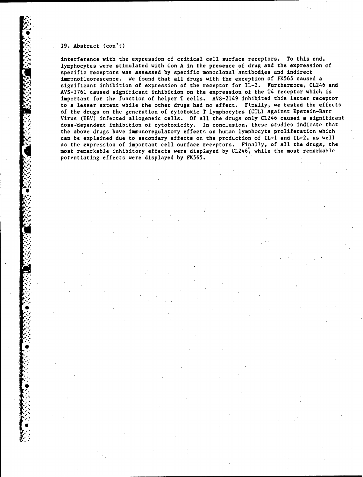### **19.** Abstract (con't)

**a'.**

a.•.

**0**

 $\cdot$ "p'

'a-

',%= ,%. oa

o

interference with the expression of critical cell surface receptors, To this end, lymphocytes were stimulated with Con A in the presence of drug and the expression of specific receptors was assessed by specific monoclonal"antibodies and indirect immunofluorescence. We found that all drugs with the exception of FK565 caused a significant inhibition of expression of the receptor for IL-2. Furthermore, CL246 and AVS-1761 caused significant inhibition on the expression of the T4 receptor which is important for the function of helper T cells. AVS-2149 inhibited this latter receptor to a lesser extent while the other drugs had nc effect. Finally, we tested the effects of the drugs on the generation of cytotoxic T lymphocytes (CTL) against Epstein-Barr Virus (EBV) infected allogeneic cells. Of all the drugs only CL246 caused a significant dose-dependent inhibition of cytotoxicity. In conclusion, these studies indicate that the above drugs have immunoregulatory effects on human lymphocyte proliferation which can be explained due to secondary effects on the production of IL-1 and IL-2, as well. as the expression of important cell surface receptors. Finally, of all the drugs, the Smost remarkable inhibitory effects were displayed **by** CL246, while the most remarkable potentiating effects were displayed by FK565.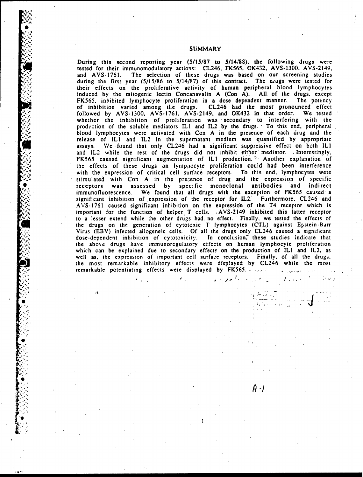During this second reporting year (5/15/87 to 5/14/88). the following drugs were tested for their immunomodulatory actions: CL246, FK565, OK432, AVS-1300, AVS-2149, and AVS-1761. The selection of these drugs was based on our screening studies during the first year (5/15/86 to 5/14/87) of this contract. The drugs were tested for their effects on the proliferative activity of human peripheral blood lymphocytes induced by the mitogenic lectin Concanavalin A (Con A). All of the drugs, except FK565, inhibited lymphocyte proliferation in a dose dependent manner. The potency of inhibition varied among the drugs. CL246 had the most pronounced effect followed by AVS-1300, AVS-1761, AVS-2149, and OK432 in that order. We tested whether the inhibition of proliferation was secondary to interfering with the production of the soluble mediators IL1 and IL2 by the drugs. To this end, peripheral blood lymphocytes were activated with Con A in the presence of each drug and the release of ILl and IL2 in the supernatant medium was quantified by appropriate assays, We found that only CL246 had a significant suppressive effect on both ILl and IL2 while the rest of the drugs did not inhibit either mediator. Interestingly, FK565 caused significant augmentation of IL1 production. Another explanation of the effects of these drugs on lympnocyte proliferation could had been interference with the expression of critical cell surface receptors. To this end, lymphocytes were . stimulated with Con A in the prezence of drug and the expression of specific **0** receptors was assessed by specific monoclonal antibodies and indirect immunofluorescence. We found that all drugs with the exception of FK565 caused' a significant inhibition of expression of the receptor for IL2.' Furthermore, CL246 and AVS-1761 caused significant inhibition on the expression of the T4 receptor which is important for the function of helper T cells. ,AVS-2149 inhibited this latter receptor to a lesser extend while the other drugs had. no effect. Finally, we tested the effects of the drugs on the generation of cytotoxic T lymphocytes (CTL) against Epstein-Barr Virus (EBV) infected allogeneic cells. Of all the drugs only CL246 caused a significant dose-dependent inhibition of cytotoxicity. In conclusion, these studies indicate that the above drugs have immunoregulatory effects on human lymphocyte proliferation which can be explained due to secondary effects on the production of IL1 and IL2, as well as, the expression of important cell surface receptors. Finally, of all the drugs, the most remarkable inhibitory effects were displayed by CL246 while the most remarkable potentiating effects were displayed by FK565.

,,. i-- ..-J/

**0** 1"

. The contract of the contract of the contract of the contract of the contract of the contract of the contract of the contract of the contract of the contract of the contract of the contract of the contract of the contrac

 $A - I$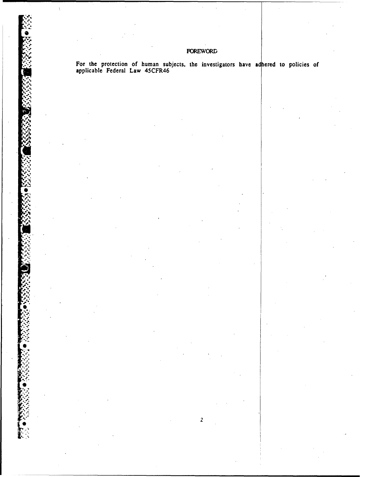# **FOREWORD**

For the protection of human subjects, the investigators have adhered to policies of applicable Federal Law 45CFR46

 $\overline{2}$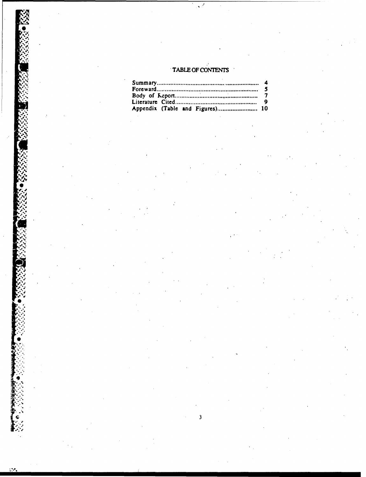# TABLE OF CONTENTS

| Appendix (Table and Figures) 10 |  |
|---------------------------------|--|

p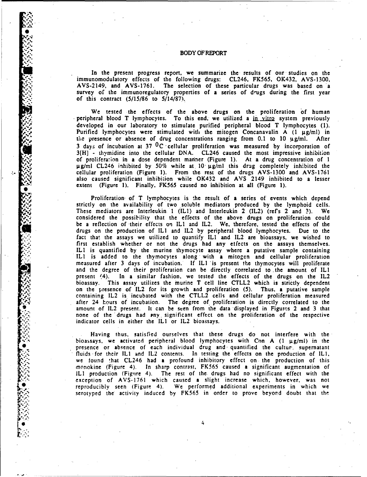#### BODY OF REPORT

In the present progress report, we summarize the results of our studies on the immunomodulatory effects of the following drugs: CL246, FK565, OK432, AVS-1300, AVS-2149, and AVS-1761. The selection of these particular drugs was based on a survey of the immunoregulatory properties of a series of drugs during the first year of this contract  $(5/15/86$  to  $5/14/87)$ .

We tested the effects of the above drugs on the proliferation of human peripheral blood T lymphocytes. To this end, we utilized a in vitro system previously developed in our laboratory to stimulate purified peripheral blood T lymphocytes (1). Purified lymphocytes were stimulated with the mitogen Concanavalin A  $(1 \mu g/ml)$  in the presence or absence of drug concentrations ranging from  $0.1$  to  $10 \mu g/ml$ . After 3 days of incubation at  $37 \text{ }^{\circ}$ C cellular proliferation was measured by incorporation of  $3[H]$  - thymidine into the cellular DNA. CL246 caused the most impressive inhibition of proliferalion in a dose dependent maniner (Figure 1). At a drug concentration of 1 ug/ml CL246 inhibited by 50% while at 10 ug/ml this drug completely inhibited the cellular proliferation (Figure 1). From the rest of the drugs AVS-1300 and AVS-1761 also caused significant inhibition while OK432 and AVS 2149 inhibited to a lesser extent (Figure 1). Finally, FK565 caused no inhibition at all (Figure 1).

Proliferation, of T lymphocytes is the result of a series of events which depend strictly on the availability of two soluble mediators produced by the lymphoid cells. These mediators are Interleukin **1** (ILl) and Interleukin 2 (IL2) (ref's 2 and 3). We considered the possibility that the effects of the above drugs on proliferation could be a reflection of 'their effects on ILl and IL2. We, therefore, tested the effects of the drugs on the production of IL1 and IL2 by peripheral blood lymphocytes. Due to the *fact* that the assays we utilized to quantify IL1 and IL2 are bioassays, we wished to first establish whether or not the drugs had any effects on the assays themselves. ILl is quantified by the murine thymocyte assay where a putative sample containing ILl is added to the thymocytes along with a mitogen and cellular proliferation measured after 3 days of incubation. If ILl 'is present the thymocytes will proliferate and the degree of their proliferation can be directly correlated to the amount of ILl present (4). In a similar fashion, we tested the effects of the drugs on the IL2 bioassay. This assay utilizes the murine T cell line CTLL2 which is strictly dependent on the presence of IL2 for its growth and proliferation (5). Thus, a putative sample containing IL2 is incubated with the CTLL2 cells and cellular proliferation measured after 24 hours of incubation. The degree of proliferation is directly correlated to the amount of IL2 present. It can be seen from the data displayed in Figures 2 and 3 that none of the drugs had any significant effect on the proliferation of the respective indicator cells in either the IL1 or IL2 bioassays.

Having thus, satisfied ourselves that these drugs do not interfere with the bioassays, we activated peripheral blood lymphocytes with Con  $A$  (1  $\mu$ g/ml) in the presence or absence of each individual drug and quantified the cultur, supernatant fluids for their IL1 and IL2 contents. In testing the effects on the production of IL1, we found that CL246 had a profound inhibitory effect on the production of this morokine (Figure 4). In sharp contrast, FK565 caused a significant augmentation of ILl production (Figure 4). The rest of the. drugs had no significant effect with the exception of AVS-1761 which caused a slight increase which, however, was not reproducibly seen (Figure 4). We performed additional experiments in which we serotyped the' activity induced by FK565 in order to prove beyord doubt that the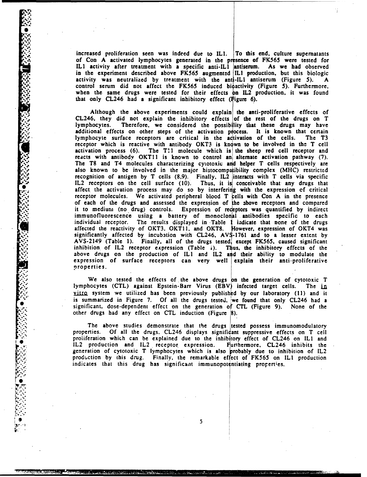increased proliferation seen was indeed due to ILL To this end. culture supernatants of Con A activated lymphocytes generated in the presence of FK565 were tested for IL1 activity after treatment with a specific anti-IL1 antiserum. As we had observed in the experiment described above **FK565** augmented **ILI** production, but this biologic activity was neutralized by treatment with the anti-ILl antiserum (Figure **5).** A control serum did not affect the FK565 induced biactivity (Figure **5).** Furthermore, when the same drugs were tested for their effects **on** IL2 production, it was found that only CL246 had a significant inhibitory effect (Figure 6). Increased proliferation seen was indeed due to IL1. To this end, culture supernatants of Con A activated lymphocytes generated in the presence of FK565 were tested for IL1 activity after treatment with a specific anti-IL1

Although the above experiments could explain the anti-proliferative effects of additional effects on other steps of the activation process. It is known that certain lymphocyte surface receptors are critical in the activation of the cells. The T3 receptor which is reactive with antibody OKT3 is known to be involved in the T cell activation process  $(6)$ . The T!1 molecule which is the sheep red cell receptor and reacts with antibody OKT11 is known to control and alternate activation pathway (7). The T8 and T4 molecules characterizing cytotoxic and helper T cells respectively are Figure 11.1 also known to be involved in the major is the major included the major pathway (7).<br>The T8 and T4 molecules characterizing cytotoxic and helper T cells respectively are<br>also known to be involved in the major hi recognition of antigen by T cells (8,9). Finally. **1L2** interacts with T cells via specific IL2 receptors on the cell surface (10). Thus, it is conceivable that any drugs that affect the activation process may do so by interfering with the expression of critical  $r =$  receptor molecules. We activated peripheral blood  $T$  in the Con A in the presence of each of the drugs and assessed the expression of the above receptors and compared it to medium (no drug) controls. Expression of receptors was quantified by indirect immunofluorescence using a battery of monoclonal antibodies specific to each individual receptor. The results displayed in Table 1 iadicate that none of the drugs affected the reactivity of OKT3, OKT11, and OKT8. However, expression of OKT4 was significantly affected by incubation with CL246, AVS-1761 and to a lesser extent by AVS-2149 (Table 1). Finally, all of the drugs tested, except FK565, caused significant inhibition of IL2 receptor expression  $(Table 1)$ . Thus, the inhibitory effects of the above drugs on the production of IL1 and IL2 and their ability to modulate the expression of surface receptors can very well explain their anti-proliferative properties.

> We also tested the effects **of,** the above drugs on the generation of cytotoxic T lymphocytes (CTL) against Epstein-Barr Virus (EBV) infected target cells. The in **vilro** system we utilized has been previously published by our laboratory (11) and it is summarized in Figure 7. Of all the drugs tested, we found that only CL246 had a significant, dose-dependent effect on the generation of CTL (Figure 9). None of the other drugs had any effect on CTL induction (Figure **8).**

> The above studies demonstrate that the drugs tested possess immunomodulatory properties. Of all the drugs. CL246 displays significant suppressive effects on T cell proliferation which can be explained due to the inhibitory effect of CL246 on IL1 and IL2 production and IL2 receptor expression. Furthermore, CL246 inhibits the generation of cytotoxic T lymphocytes Which is also probably due to inhibition of IL2 production by this drug. Finally, the remarkable effect of FK565 on ILl production indicates that this drug has significant immunopotentiating properties.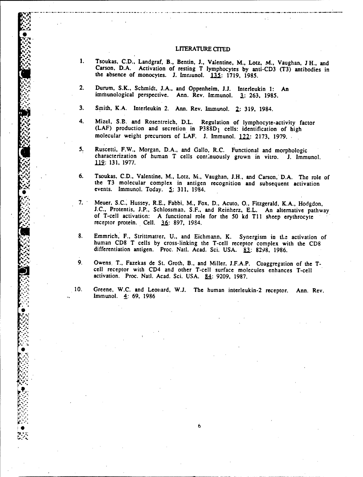#### LITERATURE CITED

- 1. Tsoukas, C.D., Landgraf, B., Bentin, J., Valentine, M., Lotz, M., Vaughan, J H., and Carson, D.A. Activation of resting T lymphocytes by anti-CD3  $(T3)$  antibodies in the absence of monocytes. J. Immunol.  $135: 1719, 1985$ .
- 2. Durum, S.K., Schmidt, J.A., and Oppenheim, J.J. Interleukin 1: An immunological perspective. Ann. Rev. Immunol. **3:** 263, 1985.
- 3. Smith, K.A. Interleukin 2. Ann. Rev. Immunol. 2: 319, 1984.
- 4. Mizel, S.B. and Rosentreich, D.L. Regulation of lymphocyte-activity factor (LAF) production and secretion in P388D<sub>1</sub> cells: identification of high molecular weight precursors of LAF. J. Immunol. 122: 2173, 1979.
- 5. Ruscetti, F.W., Morgan, D.A., and Gallo, R.C. Functional and morphologic characterization of human T cells continuously grown in vitro. **J.** Immunol. 112: 131, 1977.
- 6. Tsoukas, C.D., Valentine, M., Lotz, M., Vaughan, J.H., and Carson, D.A. The role of the T3 molecular complex in antigen recognition and subsequent activation events. Immunol. Today. **5.:** 311, 1984.
- 7. Meuer, S.C., Hussey, R.E., Fabbi, M., Fox, D., Acuto, O., Fitzgerald, K.A., Hodgdon, J.C., Protentis, J.P., Schlossman, S.F., and Reinherz, E.L. An alternative pathway of T-cell activation: A functional role for the 50
- 8. Emmrich, F., Strittmatter, U., and Eichmann, K. Synergism in the activation of human CD8 T cells by cross-linking the T-cell receptor complex with the CD8 differentiation antigen. Proc. Natl. Acad. Sci. USA. 83: 8298, 1986.
- 9. Owens, T., Fazekas de St. Groth, B., and Miller, J.F.A.P. Coaggregation of the Tcell receptor with CD4 and other T-cell surface molecules enhances T-cell activation. Proc. Natl. Acad. Sci. USA. 84: 9209, 1987.
- 10. Greene, W.C. and Leonard, **W.J.** The human interleukin-2 receptor. Ann. Rev. Immunol. 4: **69,** 1986

**0**

**i3** - .6 F.'

."4",\*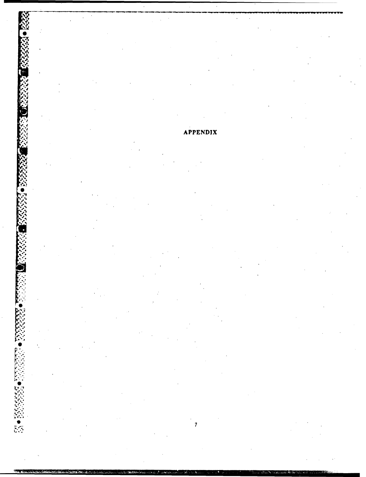**APPENDIX**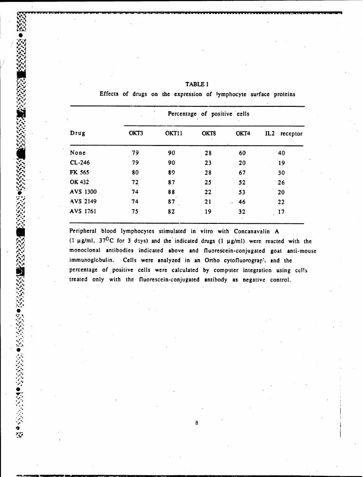|          | Percentage of positive cells |       |      |          |                 |  |
|----------|------------------------------|-------|------|----------|-----------------|--|
| Drug     | OKT3                         | OKT11 | OKT8 | OKT4     | IL2<br>receptor |  |
| None     | 79                           | 90    | 28   | 60       | 40              |  |
| $CL-246$ | 79                           | 90    | 23   | 20       | 19              |  |
| FK 565   | 80                           | 89    | 28   | 67       | 30              |  |
| OK 432   | 72                           | 87    | 25   | 52       | 26              |  |
| AVS 1300 | 74                           | 88    | 22   | 53       | 20              |  |
| AVS 2149 | 74                           | 87    | 21   | 46<br>ò. | 22              |  |
| AVS 1761 | 75                           | 82    | 19   | 32       | 17              |  |

o

**V7**

**'I'**

्रः<br>श्रुप

TABLE 1<br>Effects of drugs on the expression of lymphocyte surface proteins

Peripheral blood lymphocytes stimulated in vitro with Concanavalin A (1  $\mu$ g/ml, 37<sup>0</sup>C for 3 d2ys) and the indicated drugs (1  $\mu$ g/ml) were reacted with the monoclonal antibodies indicated above and fluorescein-conjugated goat anti-mouse immunoglobulin. Cells were analyzed in an Ortho cytofluorograph and the percentage of positive cells were calculated by computer integration using cells treated only with the fluorescein-conjugated antibody as negative control.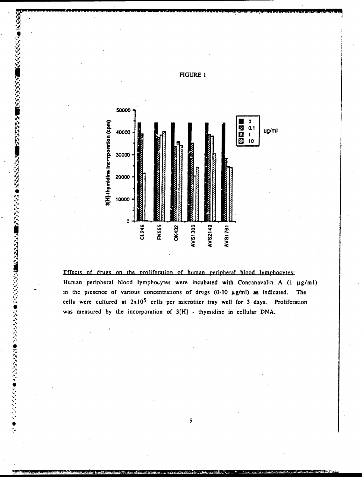

### Effects of drugs on the proliferation of human peripheral blood lymphocytes:

次の31 ●とななななどの間になるなどの間になるとなっている。これは、その他には、その他には、その他には、その他にはないのです。これは、その他になっていい。 しょうしょう しょう

Human peripheral blood lymphocytes were incubated with Concanavalin A (1 µg/ml) in the presence of various concentrations of drugs  $(0-10 \mu g/ml)$  as indicated. The cells were cultured at  $2x10^5$  cells per microtiter tray well for 3 days. Proliferation was measured by the incorporation of 3[H] - thymidine in cellular DNA.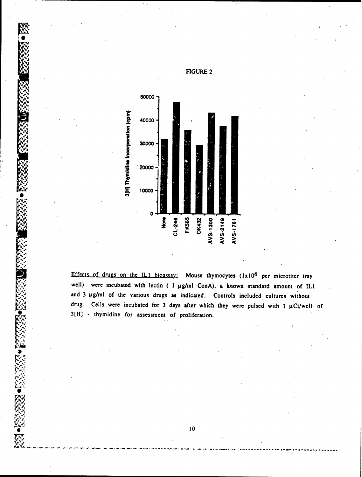

**9**

**0**

Effects of drugs on the IL1 bioassay: Mouse thymocytes  $(1x10^6$  per microtiter tray well) were incubated with lectin ( 1 µg/ml ConA), a known standard amount of IL1 and 3 µg/ml of the various drugs as indicated. Controls included cultures without drug. Cells were incubated for 3 days after which they were pulsed with 1 µCi/well of 3[H] - thymidine for assessment of proliferation.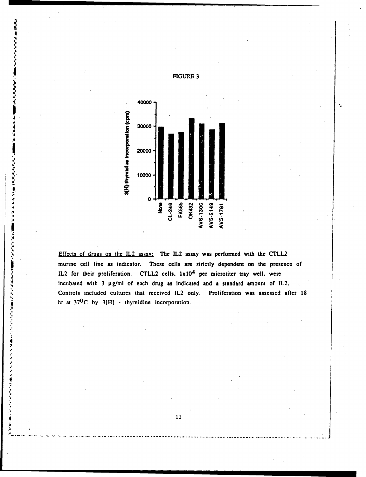

**<sup>4</sup>**Effects of drugs on the 1L2 assay: The IL2 assay was performed with the CTLL2 murine cell line as indicator. These cells are strictly dependent on the presence of IL2 for their proliferation. CTLL2 cells, Ixl04 per microtiter tray well. were incubated with 3 gg/ml of each drug as indicated and **a** standard amount of IL2. Controls included cultures that received IL2 only. Proliferation was assessed after 18 hr at  $37^0C$  by  $3[H]$  - thymidine incorporation.

### FIGURE 3

**'A----------------------------------------------------------------------------------------**

**~1**

ور کرد کرد که در مورد کار

こうきょうきょく

**THE REPORT** 

こうきょう くうき はんきょう

E.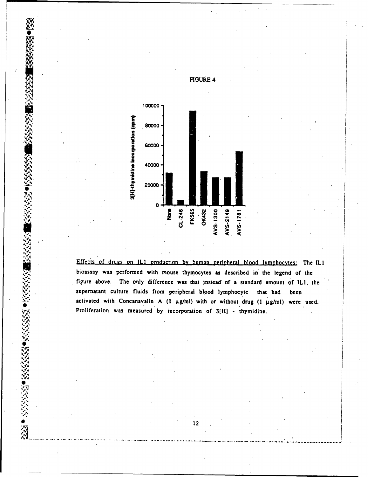

Effects of drugs on IL1 production by human peripheral blood lymphocytes: The IL1 bioassay was performed with mouse thymocytes as described in' the legend of the bioassay was performed with mouse thymocytes as described in the legend of the<br>figure above. The only difference was that instead of a standard amount of ILI, the<br>supernation tulture fluids from peripheral blood lymphotog supernatant culture fluids from peripheral blood lymphocyte that had been activated with Concanavalin A (1  $\mu$ g/ml) with or without drug (1  $\mu$ g/ml) were used. Proliferation was measured by incorporation of 3[H] - thymidine.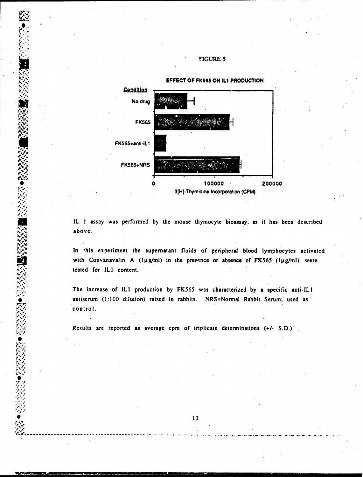**W**

**0**



IL **I** assay was performed **by** the mouse thymocyte bioassay, as it **has** been described above.

In this experiment the supernatant fluids of peripheral blood lymphocytes activated with Convanavalin A (1µg/ml) in the presence or absence of **FK565** (1µg/ml) were tested for ILI content.

The increase of ILI production **by FK565** was characterized **by** 'a specific anti-ILI antiserum (1:100 dilution) raised in rabbits. NRS=Normal Rabbit Serum; used as control.

Results are reported as average cpm of triplicate determinations (+/- S.D.)<sup>'</sup>

\* **13**

**..........................................--** ----- ----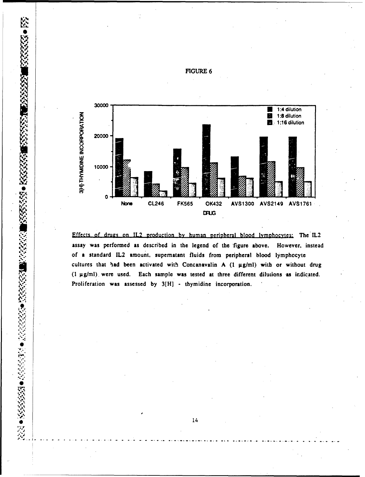

Effects of drugs on IL2 production by human peripheral blood lymphocytes: The IL2 assay was performed as described in the legend of the figure above. However, instead of a standard IL2 amount, supernatant fluids from peripheral blood lymphocyte cultures that had been activated with Concanavalin A  $(1 \mu g/ml)$  with or without drug (1 µg/ml), were used. Each sample was tested at three different dilutions as indicated. Proliferation was assessed by 3[H] - thymidine incorporation.

FIGURE 6

530222011

555555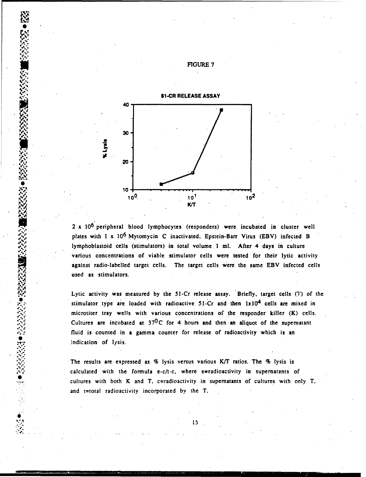![](_page_17_Figure_0.jpeg)

2 x 10<sup>6</sup> peripheral blood lymphocytes (responders) were incubated in cluster well plates with  $1 \times 10^6$  Mytomycin C inactivated, Epstein-Barr Virus (EBV) infected B lymphoblastoid cells (stimulators) in total volume **I** ml. After 4 days in culture various concentrations of viable stimulator cells were tested for their lytic activity against radio-labelled target cells. The target cells were the same EBV infected cells used as stimulators.

Lytic activity was measured by the 51-Cr release assay. Briefly, target cells (7) of the stimulator type are loaded with radioactive 51-Cr and then  $1x10<sup>4</sup>$  cells are mixed in microtiter tray wells, with various concentrations of the responder killer (K) cells. Cultures are incubated at  $37^0C$  for 4 hours and then an aliquot of the supernatant fluid is counted in a gamma counter for release of radioactivity which is an .indication of lysis.

The results are expressed as % lysis versus various *K/T* ratios. The % lysis is calculated with the formula e-c/t-c, where e=radioactivity in supernatants of cultures with both K and T, c=radioactivity in supernatants of cultures with only T, and t=total radioactivity incorporated by the T.

FIGURE 7

**XXXXX** 

*V~q-j*

**REAL PROPERTY AND PROPERTY**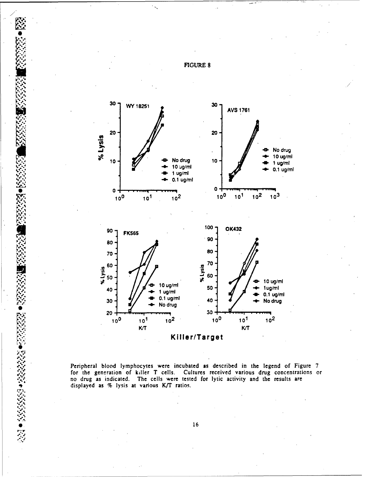![](_page_18_Figure_0.jpeg)

**0**

,,%

-•, r

Peripheral blood lymphocytes were incubated as described in the legend of Figure 7 for the generation of killer T cells. Cultures received various drug concentrations or no drug as indicated. The cells were tested for lytic activity and the results are displayed as % lysis at various K/T ratios.

 $\bullet$  16